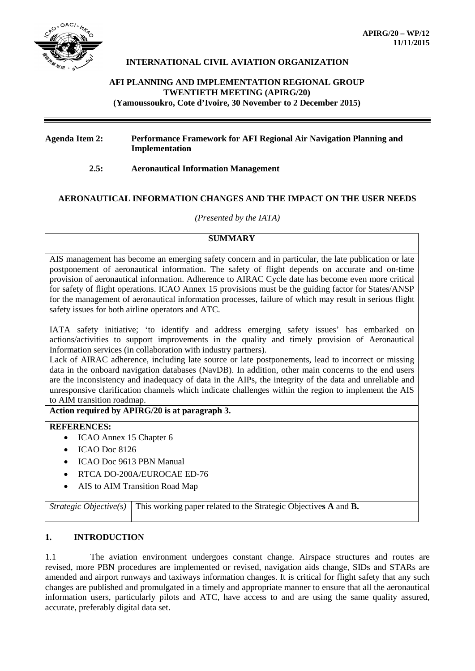

## **INTERNATIONAL CIVIL AVIATION ORGANIZATION**

# **AFI PLANNING AND IMPLEMENTATION REGIONAL GROUP TWENTIETH MEETING (APIRG/20) (Yamoussoukro, Cote d'Ivoire, 30 November to 2 December 2015)**

### **Agenda Item 2: Performance Framework for AFI Regional Air Navigation Planning and Implementation**

### **2.5: Aeronautical Information Management**

# **AERONAUTICAL INFORMATION CHANGES AND THE IMPACT ON THE USER NEEDS**

#### *(Presented by the IATA)*

### **SUMMARY**

AIS management has become an emerging safety concern and in particular, the late publication or late postponement of aeronautical information. The safety of flight depends on accurate and on-time provision of aeronautical information. Adherence to AIRAC Cycle date has become even more critical for safety of flight operations. ICAO Annex 15 provisions must be the guiding factor for States/ANSP for the management of aeronautical information processes, failure of which may result in serious flight safety issues for both airline operators and ATC.

IATA safety initiative; 'to identify and address emerging safety issues' has embarked on actions/activities to support improvements in the quality and timely provision of Aeronautical Information services (in collaboration with industry partners).

Lack of AIRAC adherence, including late source or late postponements, lead to incorrect or missing data in the onboard navigation databases (NavDB). In addition, other main concerns to the end users are the inconsistency and inadequacy of data in the AIPs, the integrity of the data and unreliable and unresponsive clarification channels which indicate challenges within the region to implement the AIS to AIM transition roadmap.

### **Action required by APIRG/20 is at paragraph 3.**

### **REFERENCES:**

- ICAO Annex 15 Chapter 6
- ICAO Doc 8126
- ICAO Doc 9613 PBN Manual
- RTCA DO-200A/EUROCAE ED-76
- AIS to AIM Transition Road Map

*Strategic Objective(s)* This working paper related to the Strategic Objectives A and **B.** 

# **1. INTRODUCTION**

1.1 The aviation environment undergoes constant change. Airspace structures and routes are revised, more PBN procedures are implemented or revised, navigation aids change, SIDs and STARs are amended and airport runways and taxiways information changes. It is critical for flight safety that any such changes are published and promulgated in a timely and appropriate manner to ensure that all the aeronautical information users, particularly pilots and ATC, have access to and are using the same quality assured, accurate, preferably digital data set.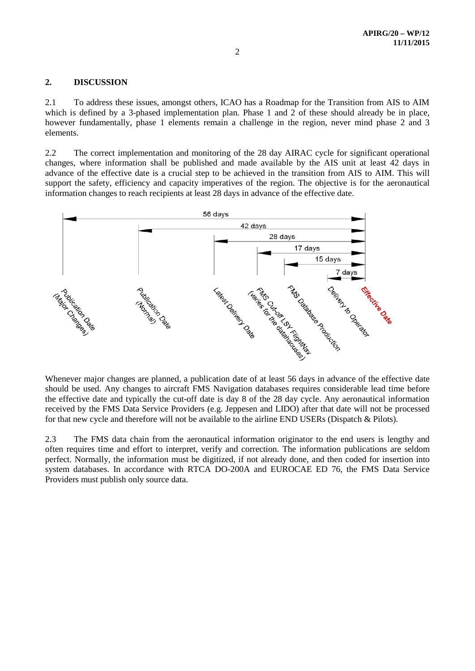### **2. DISCUSSION**

2.1 To address these issues, amongst others, ICAO has a Roadmap for the Transition from AIS to AIM which is defined by a 3-phased implementation plan. Phase 1 and 2 of these should already be in place, however fundamentally, phase 1 elements remain a challenge in the region, never mind phase 2 and 3 elements.

2.2 The correct implementation and monitoring of the 28 day AIRAC cycle for significant operational changes, where information shall be published and made available by the AIS unit at least 42 days in advance of the effective date is a crucial step to be achieved in the transition from AIS to AIM. This will support the safety, efficiency and capacity imperatives of the region. The objective is for the aeronautical information changes to reach recipients at least 28 days in advance of the effective date.



Whenever major changes are planned, a publication date of at least 56 days in advance of the effective date should be used. Any changes to aircraft FMS Navigation databases requires considerable lead time before the effective date and typically the cut-off date is day 8 of the 28 day cycle. Any aeronautical information received by the FMS Data Service Providers (e.g. Jeppesen and LIDO) after that date will not be processed for that new cycle and therefore will not be available to the airline END USERs (Dispatch & Pilots).

2.3 The FMS data chain from the aeronautical information originator to the end users is lengthy and often requires time and effort to interpret, verify and correction. The information publications are seldom perfect. Normally, the information must be digitized, if not already done, and then coded for insertion into system databases. In accordance with RTCA DO-200A and EUROCAE ED 76, the FMS Data Service Providers must publish only source data.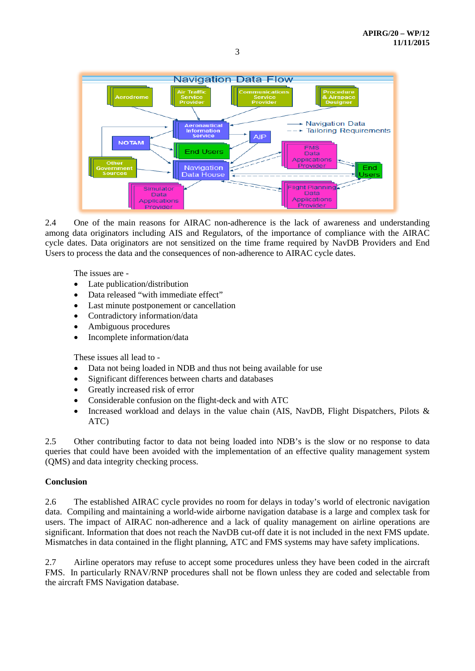

2.4 One of the main reasons for AIRAC non-adherence is the lack of awareness and understanding among data originators including AIS and Regulators, of the importance of compliance with the AIRAC cycle dates. Data originators are not sensitized on the time frame required by NavDB Providers and End Users to process the data and the consequences of non-adherence to AIRAC cycle dates.

The issues are -

- Late publication/distribution
- Data released "with immediate effect"
- Last minute postponement or cancellation
- Contradictory information/data
- Ambiguous procedures
- Incomplete information/data

These issues all lead to -

- Data not being loaded in NDB and thus not being available for use
- Significant differences between charts and databases
- Greatly increased risk of error
- Considerable confusion on the flight-deck and with ATC
- Increased workload and delays in the value chain (AIS, NavDB, Flight Dispatchers, Pilots & ATC)

2.5 Other contributing factor to data not being loaded into NDB's is the slow or no response to data queries that could have been avoided with the implementation of an effective quality management system (QMS) and data integrity checking process.

### **Conclusion**

2.6 The established AIRAC cycle provides no room for delays in today's world of electronic navigation data. Compiling and maintaining a world-wide airborne navigation database is a large and complex task for users. The impact of AIRAC non-adherence and a lack of quality management on airline operations are significant. Information that does not reach the NavDB cut-off date it is not included in the next FMS update. Mismatches in data contained in the flight planning, ATC and FMS systems may have safety implications.

2.7 Airline operators may refuse to accept some procedures unless they have been coded in the aircraft FMS. In particularly RNAV/RNP procedures shall not be flown unless they are coded and selectable from the aircraft FMS Navigation database.